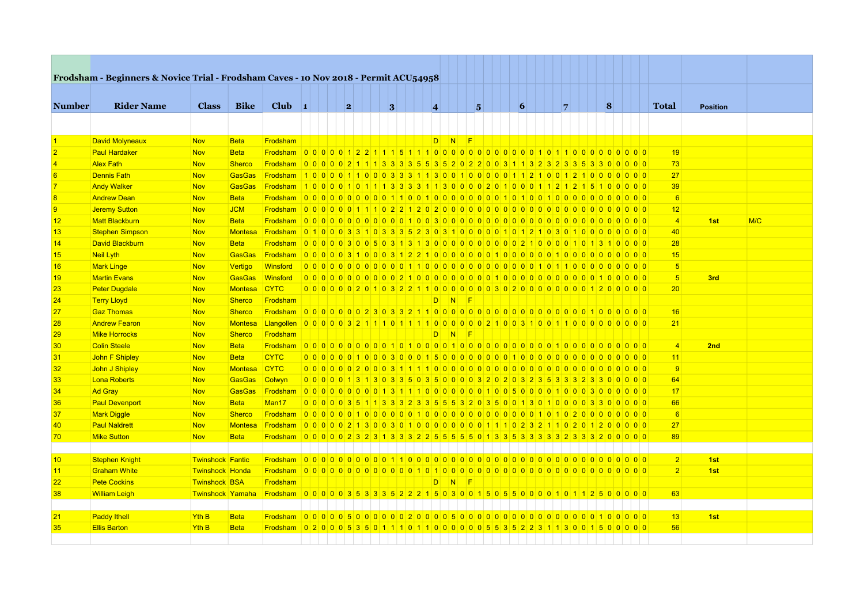|                | Frodsham - Beginners & Novice Trial - Frodsham Caves - 10 Nov 2018 - Permit ACU54958 |                         |                |                                                                                            |                                                                                 |   |  |   |                         |    |                  |   |  |                 |  |             |                 |  |                 |                 |     |
|----------------|--------------------------------------------------------------------------------------|-------------------------|----------------|--------------------------------------------------------------------------------------------|---------------------------------------------------------------------------------|---|--|---|-------------------------|----|------------------|---|--|-----------------|--|-------------|-----------------|--|-----------------|-----------------|-----|
|                |                                                                                      |                         |                |                                                                                            |                                                                                 |   |  |   |                         |    |                  |   |  |                 |  |             |                 |  |                 |                 |     |
| <b>Number</b>  | <b>Rider Name</b>                                                                    | <b>Class</b>            | <b>Bike</b>    | $Club$ 1                                                                                   |                                                                                 | 2 |  | 3 | $\overline{\mathbf{4}}$ |    |                  | 5 |  | $\vert 6 \vert$ |  | $7^{\circ}$ | $\vert 8 \vert$ |  | <b>Total</b>    | <b>Position</b> |     |
|                |                                                                                      |                         |                |                                                                                            |                                                                                 |   |  |   |                         |    |                  |   |  |                 |  |             |                 |  |                 |                 |     |
|                |                                                                                      |                         |                |                                                                                            |                                                                                 |   |  |   |                         |    |                  |   |  |                 |  |             |                 |  |                 |                 |     |
|                | David Molyneaux                                                                      | <b>Nov</b>              | <b>Beta</b>    | Frodsham                                                                                   |                                                                                 |   |  |   |                         | D  | $N$ F            |   |  |                 |  |             |                 |  |                 |                 |     |
|                | <b>Paul Hardaker</b>                                                                 | <b>Nov</b>              | <b>Beta</b>    |                                                                                            |                                                                                 |   |  |   |                         |    |                  |   |  |                 |  |             |                 |  | 19              |                 |     |
|                | <b>Alex Fath</b>                                                                     | <b>Nov</b>              | <b>Sherco</b>  | Frodsham 0000021113333553520220031132323353300000                                          |                                                                                 |   |  |   |                         |    |                  |   |  |                 |  |             |                 |  | 73              |                 |     |
| 6              | <b>Dennis Fath</b>                                                                   | <b>Nov</b>              | <b>GasGas</b>  | Frodsham 100001100033311300100001121001210000000                                           |                                                                                 |   |  |   |                         |    |                  |   |  |                 |  |             |                 |  | 27              |                 |     |
|                | <b>Andy Walker</b>                                                                   | <b>Nov</b>              | <b>GasGas</b>  | Frodsham 10000101011333311300000201000112121215100000                                      |                                                                                 |   |  |   |                         |    |                  |   |  |                 |  |             |                 |  | 39              |                 |     |
| 8              | <b>Andrew Dean</b>                                                                   | <b>Nov</b>              | Beta           |                                                                                            |                                                                                 |   |  |   |                         |    |                  |   |  |                 |  |             |                 |  | 6               |                 |     |
| $\overline{9}$ | <b>Jeremy Sutton</b>                                                                 | <b>Nov</b>              | <b>JCM</b>     |                                                                                            |                                                                                 |   |  |   |                         |    |                  |   |  |                 |  |             |                 |  | 12              |                 |     |
| 12             | <b>Matt Blackburn</b>                                                                | <b>Nov</b>              | <b>Beta</b>    |                                                                                            |                                                                                 |   |  |   |                         |    |                  |   |  |                 |  |             |                 |  | $\overline{4}$  | 1st             | M/C |
| 13             | <b>Stephen Simpson</b>                                                               | <b>Nov</b>              | <b>Montesa</b> | Frodsham 0 1 0 0 0 3 3 1 0 3 3 5 6 2 3 0 3 1 0 0 0 0 0 1 0 1 2 1 0 3 0 1 0 0 0 0 0 0 0 0   |                                                                                 |   |  |   |                         |    |                  |   |  |                 |  |             |                 |  | 40              |                 |     |
| 14             | David Blackburn                                                                      | <b>Nov</b>              | <b>Beta</b>    | Frodsham 000003005031313000000000000210000101310000                                        |                                                                                 |   |  |   |                         |    |                  |   |  |                 |  |             |                 |  | 28              |                 |     |
| 15             | <b>Neil Lyth</b>                                                                     | <b>Nov</b>              | <b>GasGas</b>  |                                                                                            |                                                                                 |   |  |   |                         |    |                  |   |  |                 |  |             |                 |  | 15              |                 |     |
| 16             | <b>Mark Linge</b>                                                                    | <b>Nov</b>              | Vertigo        | Winsford                                                                                   |                                                                                 |   |  |   |                         |    |                  |   |  |                 |  |             |                 |  | 5 <sub>5</sub>  |                 |     |
| 19             | <b>Martin Evans</b>                                                                  | <b>Nov</b>              | <b>GasGas</b>  | Winsford                                                                                   |                                                                                 |   |  |   |                         |    |                  |   |  |                 |  |             |                 |  | 5 <sub>5</sub>  | 3rd             |     |
| 23             | <b>Peter Dugdale</b>                                                                 | <b>Nov</b>              | <b>Montesa</b> | <b>CYTC</b>                                                                                | 0 0 0 0 0 0 2 0 1 0 3 2 2 1 1 0 0 0 0 0 0 0 3 0 2 0 0 0 0 0 0 0 0 1 2 0 0 0 0 0 |   |  |   |                         |    |                  |   |  |                 |  |             |                 |  | 20 <sup>2</sup> |                 |     |
| 24             | <b>Terry Lloyd</b>                                                                   | <b>Nov</b>              | <b>Sherco</b>  | Frodsham                                                                                   |                                                                                 |   |  |   |                         | D. | $N$ F            |   |  |                 |  |             |                 |  |                 |                 |     |
| 27             | <b>Gaz Thomas</b>                                                                    | <b>Nov</b>              | Sherco         |                                                                                            |                                                                                 |   |  |   |                         |    |                  |   |  |                 |  |             |                 |  | 16              |                 |     |
| 28             | <b>Andrew Fearon</b>                                                                 | <b>Nov</b>              | <b>Montesa</b> | Langollen 000003211101110000002100310011000000000                                          |                                                                                 |   |  |   |                         |    |                  |   |  |                 |  |             |                 |  | 21              |                 |     |
| 29             | <b>Mike Horrocks</b>                                                                 | <b>Nov</b>              | <b>Sherco</b>  | Frodsham                                                                                   |                                                                                 |   |  |   |                         | D  | $\overline{N}$ F |   |  |                 |  |             |                 |  |                 |                 |     |
| 30             | <b>Colin Steele</b>                                                                  | <b>Nov</b>              | <b>Beta</b>    |                                                                                            |                                                                                 |   |  |   |                         |    |                  |   |  |                 |  |             |                 |  | $\overline{4}$  | 2nd             |     |
| 31             | John F Shipley                                                                       | <b>Nov</b>              | <b>Beta</b>    | <b>CYTC</b>                                                                                |                                                                                 |   |  |   |                         |    |                  |   |  |                 |  |             |                 |  | 11              |                 |     |
| 32             | John J Shipley                                                                       | <b>Nov</b>              | <b>Montesa</b> | <b>CYTC</b>                                                                                |                                                                                 |   |  |   |                         |    |                  |   |  |                 |  |             |                 |  | $\overline{9}$  |                 |     |
| 33             | Lona Roberts                                                                         | <b>Nov</b>              | <b>GasGas</b>  | Colwyn                                                                                     | 0 0 0 0 1 3 1 3 0 3 3 5 0 3 5 0 0 0 0 3 2 0 2 0 3 2 3 5 3 3 3 2 3 3 0 0 0 0 0   |   |  |   |                         |    |                  |   |  |                 |  |             |                 |  | 64              |                 |     |
| 34             | <b>Ad Gray</b>                                                                       | <b>Nov</b>              | <b>GasGas</b>  | Frodsham 000000000131110000001005000010003000000                                           |                                                                                 |   |  |   |                         |    |                  |   |  |                 |  |             |                 |  | 17              |                 |     |
| 36             | <b>Paul Devenport</b>                                                                | <b>Nov</b>              | <b>Beta</b>    | Man17                                                                                      | 0 0 0 0 3 5 1 1 3 3 3 2 3 3 5 5 5 3 2 0 3 5 0 0 1 3 0 1 0 0 0 0 3 3 0 0 0 0 0   |   |  |   |                         |    |                  |   |  |                 |  |             |                 |  | 66              |                 |     |
| 37             | Mark Diggle                                                                          | <b>Nov</b>              | <b>Sherco</b>  |                                                                                            |                                                                                 |   |  |   |                         |    |                  |   |  |                 |  |             |                 |  | $6\overline{6}$ |                 |     |
| 40             | <b>Paul Naldrett</b>                                                                 | <b>Nov</b>              | <b>Montesa</b> | Frodsham 0000021300301000000011102321102012000000                                          |                                                                                 |   |  |   |                         |    |                  |   |  |                 |  |             |                 |  | 27              |                 |     |
| 70             | <b>Mike Sutton</b>                                                                   | <b>Nov</b>              | <b>Beta</b>    | Frodsham 000002323133225555501333533332333233200000                                        |                                                                                 |   |  |   |                         |    |                  |   |  |                 |  |             |                 |  | 89              |                 |     |
|                |                                                                                      |                         |                |                                                                                            |                                                                                 |   |  |   |                         |    |                  |   |  |                 |  |             |                 |  |                 |                 |     |
| 10             | <b>Stephen Knight</b>                                                                | <b>Twinshock Fantic</b> |                |                                                                                            |                                                                                 |   |  |   |                         |    |                  |   |  |                 |  |             |                 |  | 2               | 1st             |     |
| 11             | <b>Graham White</b>                                                                  | <b>Twinshock Honda</b>  |                |                                                                                            |                                                                                 |   |  |   |                         |    |                  |   |  |                 |  |             |                 |  | $\overline{2}$  | 1st             |     |
| 22             | <b>Pete Cockins</b>                                                                  | <b>Twinshock BSA</b>    |                | Frodsham                                                                                   |                                                                                 |   |  |   |                         | D. | $N$ F            |   |  |                 |  |             |                 |  |                 |                 |     |
| 38             | <b>William Leigh</b>                                                                 | <b>Twinshock Yamaha</b> |                | Frodsham 0000035333522215030015055000010112500000                                          |                                                                                 |   |  |   |                         |    |                  |   |  |                 |  |             |                 |  | 63              |                 |     |
|                |                                                                                      |                         |                |                                                                                            |                                                                                 |   |  |   |                         |    |                  |   |  |                 |  |             |                 |  |                 |                 |     |
| 21             | <b>Paddy Ithell</b>                                                                  | Yth B                   | <b>Beta</b>    |                                                                                            |                                                                                 |   |  |   |                         |    |                  |   |  |                 |  |             |                 |  | 13              | 1st             |     |
| 35             | <b>Ellis Barton</b>                                                                  | Yth B                   | <b>Beta</b>    | Frodsham 0 2 0 0 0 5 3 5 0 1 1 1 0 1 1 0 0 0 0 0 0 5 5 3 5 2 2 3 1 1 3 0 0 1 5 0 0 0 0 0 0 |                                                                                 |   |  |   |                         |    |                  |   |  |                 |  |             |                 |  | 56              |                 |     |
|                |                                                                                      |                         |                |                                                                                            |                                                                                 |   |  |   |                         |    |                  |   |  |                 |  |             |                 |  |                 |                 |     |